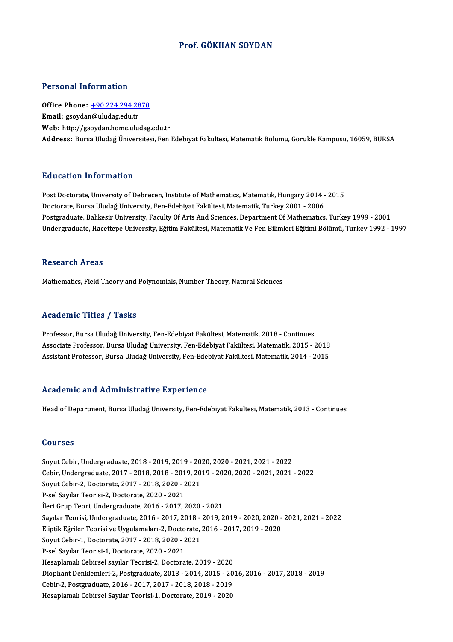# Prof. GÖKHAN SOYDAN

## Personal Information

Personal Information<br>Office Phone: <u>+90 224 294 2870</u> 1 STOSHET MESTMELTON<br>Office Phone: <u>+90 224 294 28</u><br>Email: gsoyda[n@uludag.edu.tr](tel:+90 224 294 2870) Email: gsoydan@uludag.edu.tr<br>Web: http://gsoydan.home.uludag.edu.tr Address: Bursa Uludağ Üniversitesi, Fen Edebiyat Fakültesi, Matematik Bölümü, Görükle Kampüsü, 16059, BURSA

## Education Information

Education Information<br>Post Doctorate, University of Debrecen, Institute of Mathematics, Matematik, Hungary 2014 - 2015<br>Doctorate Burga Uludağ University, Fon Edebiyat Fakültesi, Matematik, Turkay 2001 - 2006 Du u sutrom minominusion<br>Post Doctorate, University of Debrecen, Institute of Mathematics, Matematik, Hungary 2014 -<br>Doctorate, Bursa Uludağ University, Fen-Edebiyat Fakültesi, Matematik, Turkey 2001 - 2006<br>Postsraduate, B Doctorate, Bursa Uludağ University, Fen-Edebiyat Fakültesi, Matematik, Turkey 2001 - 2006<br>Postgraduate, Balikesir University, Faculty Of Arts And Scıences, Department Of Mathematıcs, Turkey 1999 - 2001 Undergraduate, Hacettepe University, Eğitim Fakültesi, Matematik Ve Fen Bilimleri Eğitimi Bölümü, Turkey 1992 - 1997

## **Research Areas**

Mathematics, Field Theory and Polynomials, Number Theory, Natural Sciences

## Academic Titles / Tasks

Professor, Bursa Uludağ University, Fen-Edebiyat Fakültesi, Matematik, 2018 - Continues -<br>Professor, Bursa Uludağ University, Fen-Edebiyat Fakültesi, Matematik, 2018 - Continues<br>Associate Professor, Bursa Uludağ University, Fen-Edebiyat Fakültesi, Matematik, 2015 - 2018<br>Assistant Professor, Bursa Uludağ Unive Professor, Bursa Uludağ University, Fen-Edebiyat Fakültesi, Matematik, 2018 - Continues<br>Associate Professor, Bursa Uludağ University, Fen-Edebiyat Fakültesi, Matematik, 2015 - 2018<br>Assistant Professor, Bursa Uludağ Univers Assistant Professor, Bursa Uludağ University, Fen-Edebiyat Fakültesi, Matematik, 2014 - 2015<br>Academic and Administrative Experience

Head of Department, Bursa Uludağ University, Fen-Edebiyat Fakültesi, Matematik, 2013 - Continues

### Courses

Courses<br>Soyut Cebir, Undergraduate, 2018 - 2019, 2019 - 2020, 2020 - 2021, 2021 - 2022<br>Cebir, Undergraduate, 2017 - 2018, 2019, 2019, 2019, 2020, 2020, 2021, 2021 Cebir, Undergraduate, 2017 - 2018, 2018 - 2019, 2019 - 2020, 2020 - 2021, 2021 - 2022<br>Soyut Cebir-2, Doctorate, 2017 - 2018, 2020 - 2021 Soyut Cebir, Undergraduate, 2018 - 2019, 2019 - 20<br>Cebir, Undergraduate, 2017 - 2018, 2018 - 2019, 20<br>Soyut Cebir-2, Doctorate, 2017 - 2018, 2020 - 2021<br>B.sel Sayılar Teorisi ?, Doctorate, 2020, 2021 P-sel Sayılar Teorisi-2, Doctorate, 2020 - 2021 İleriGrupTeori,Undergraduate,2016 -2017,2020 -2021 P-sel Sayılar Teorisi-2, Doctorate, 2020 - 2021<br>İleri Grup Teori, Undergraduate, 2016 - 2017, 2020 - 2021<br>Sayılar Teorisi, Undergraduate, 2016 - 2017, 2018 - 2019, 2019 - 2020, 2020 - 2021, 2021 - 2022<br>Flintik Fărilar Teor İleri Grup Teori, Undergraduate, 2016 - 2017, 2020 - 2021<br>Sayılar Teorisi, Undergraduate, 2016 - 2017, 2018 - 2019, 2019 - 2020, 2020 -<br>Eliptik Eğriler Teorisi ve Uygulamaları-2, Doctorate, 2016 - 2017, 2019 - 2020<br>Sayut C Sayılar Teorisi, Undergraduate, 2016 - 2017, 2018 -<br>Eliptik Eğriler Teorisi ve Uygulamaları-2, Doctorate,<br>Soyut Cebir-1, Doctorate, 2017 - 2018, 2020 - 2021<br>B.sel Sayılar Teorisi 1, Doctorate, 2020, 2021 Eliptik Eğriler Teorisi ve Uygulamaları-2, Docto<br>Soyut Cebir-1, Doctorate, 2017 - 2018, 2020 - 2<br>P-sel Sayılar Teorisi-1, Doctorate, 2020 - 2021<br>Hesenlamalı Cebirsel sayılar Teorisi 3, Dostora P-sel Sayılar Teorisi-1, Doctorate, 2020 - 2021<br>Hesaplamalı Cebirsel sayılar Teorisi-2, Doctorate, 2019 - 2020 P-sel Sayılar Teorisi-1, Doctorate, 2020 - 2021<br>Hesaplamalı Cebirsel sayılar Teorisi-2, Doctorate, 2019 - 2020<br>Diophant Denklemleri-2, Postgraduate, 2013 - 2014, 2015 - 2016, 2016 - 2017, 2018 - 2019<br>Cebir 2, Postgraduate, Hesaplamalı Cebirsel sayılar Teorisi-2, Doctorate, 2019 - 2020<br>Diophant Denklemleri-2, Postgraduate, 2013 - 2014, 2015 - 20<br>Cebir-2, Postgraduate, 2016 - 2017, 2017 - 2018, 2018 - 2019<br>Hesaplamalı Cebirsel Sayılar Teorisi Cebir-2, Postgraduate, 2016 - 2017, 2017 - 2018, 2018 - 2019<br>Hesaplamalı Cebirsel Sayılar Teorisi-1, Doctorate, 2019 - 2020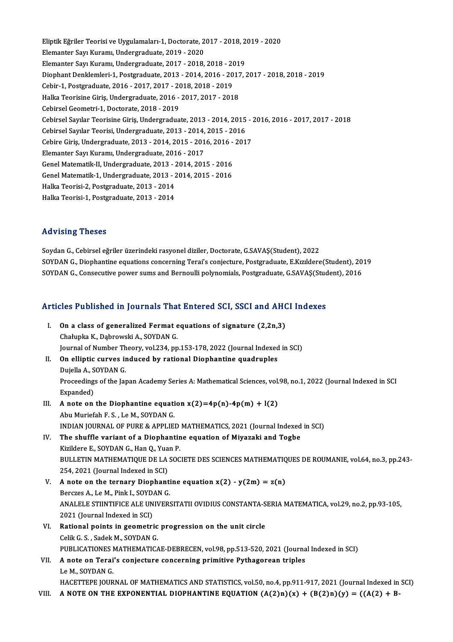Eliptik Eğriler Teorisi ve Uygulamaları-1, Doctorate, 2017 - 2018, 2019 - 2020<br>Elamantar Sau Kuramı, Undergraduata, 2019, 2020 Eliptik Eğriler Teorisi ve Uygulamaları-1, Doctorate, 2<br>Elemanter Sayı Kuramı, Undergraduate, 2019 - 2020<br>Elemanter Sayı Kuramı, Undergraduate, 2017 - 2019 Eliptik Eğriler Teorisi ve Uygulamaları-1, Doctorate, 2017 - 2018, 2<br>Elemanter Sayı Kuramı, Undergraduate, 2019 - 2020<br>Elemanter Sayı Kuramı, Undergraduate, 2017 - 2018, 2018 - 2019<br>Diaphart Dapklamlari 1, Bostanaduate, 20 Elemanter Sayı Kuramı, Undergraduate, 2019 - 2020<br>Elemanter Sayı Kuramı, Undergraduate, 2017 - 2018, 2018 - 2019<br>Diophant Denklemleri-1, Postgraduate, 2013 - 2014, 2016 - 2017, 2017 - 2018, 2018 - 2019<br>Sebin 1, Postgraduat Elemanter Sayı Kuramı, Undergraduate, 2017 - 2018, 2018 - 20<br>Diophant Denklemleri-1, Postgraduate, 2013 - 2014, 2016 - 20<br>Cebir-1, Postgraduate, 2016 - 2017, 2017 - 2018, 2018 - 2019<br>Halka Teorisine Ciris, Undergraduate, 2 Diophant Denklemleri-1, Postgraduate, 2013 - 2014, 2016 - 2017<br>Cebir-1, Postgraduate, 2016 - 2017, 2017 - 2018, 2018 - 2019<br>Halka Teorisine Giriş, Undergraduate, 2016 - 2017, 2017 - 2018<br>Cebirsel Ceometri 1, Desterate, 201 Cebir-1, Postgraduate, 2016 - 2017, 2017 - 2018, 2018 - 2019<br>Halka Teorisine Giriş, Undergraduate, 2016 - 2017, 2017 - 2018<br>Cebirsel Geometri-1, Doctorate, 2018 - 2019 CebirselSayılarTeorisineGiriş,Undergraduate,2013 -2014,2015 -2016,2016 -2017,2017 -2018 Cebirsel Geometri-1, Doctorate, 2018 - 2019<br>Cebirsel Sayılar Teorisine Giriş, Undergraduate, 2013 - 2014, 2015<br>Cebirsel Sayılar Teorisi, Undergraduate, 2013 - 2014, 2015 - 2016<br>Cebirse Giris, Undergraduate, 2012, 2014, 201 Cebirsel Sayılar Teorisine Giriş, Undergraduate, 2013 - 2014, 2015 - 2<br>Cebirsel Sayılar Teorisi, Undergraduate, 2013 - 2014, 2015 - 2016<br>Cebire Giriş, Undergraduate, 2013 - 2014, 2015 - 2016, 2016 - 2017<br>Flamantar Sayı Kur Cebirsel Sayılar Teorisi, Undergraduate, 2013 - 2014,<br>Cebire Giriş, Undergraduate, 2013 - 2014, 2015 - 201<br>Elemanter Sayı Kuramı, Undergraduate, 2016 - 2017<br>Cenel Matematik II. Undergraduate, 2012, 2014, 201 Cebire Giriş, Undergraduate, 2013 - 2014, 2015 - 2016, 2016 -<br>Elemanter Sayı Kuramı, Undergraduate, 2016 - 2017<br>Genel Matematik-II, Undergraduate, 2013 - 2014, 2015 - 2016<br>Cenel Matematik-II, Undergraduate, 2013 - 2014, 20 Elemanter Sayı Kuramı, Undergraduate, 2016 - 2017<br>Genel Matematik-II, Undergraduate, 2013 - 2014, 2015 - 2016<br>Genel Matematik-1, Undergraduate, 2013 - 2014, 2015 - 2016 Genel Matematik-II, Undergraduate, 2013 - 2<br>Genel Matematik-1, Undergraduate, 2013 - 2<br>Halka Teorisi-2, Postgraduate, 2013 - 2014<br>Halka Teorisi 1, Postgraduate, 2013 - 2014 Genel Matematik-1, Undergraduate, 2013 - 2<br>Halka Teorisi-2, Postgraduate, 2013 - 2014<br>Halka Teorisi-1, Postgraduate, 2013 - 2014 Halka Teorisi-1, Postgraduate, 2013 - 2014<br>Advising Theses

SoydanG.,Cebirseleğriler üzerindeki rasyoneldiziler,Doctorate,G.SAVAŞ(Student),2022 Soydan G., Cebirsel eğriler üzerindeki rasyonel diziler, Doctorate, G.SAVAŞ(Student), 2022<br>SOYDAN G., Diophantine equations concerning Terai's conjecture, Postgraduate, E.Kızıldere(Student), 2019<br>SOYDAN G. Gonsegutive novg Soydan G., Cebirsel eğriler üzerindeki rasyonel diziler, Doctorate, G.SAVAŞ(Student), 2022<br>SOYDAN G., Diophantine equations concerning Terai's conjecture, Postgraduate, E.Kızıldere(Student), 20<br>SOYDAN G., Consecutive power

# SOTDAN G., Consecutive power sums and Bernoum polynomials, Postgraduate, G.SAVA5(Stud<br>Articles Published in Journals That Entered SCI, SSCI and AHCI Indexes

rticles Published in Journals That Entered SCI, SSCI and AHC<br>I. On a class of generalized Fermat equations of signature (2,2n,3) Chałupka K., Dąbrowski A., SOYDAN G.<br>Journal of Number Theory, vol.234, pp.153-178, 2022 (Journal Indexed in SCI) I. On a class of generalized Fermat equations of signature  $(2,2n,3)$ II. On elliptic curves induced by rational Diophantine quadruples Journal of Number Th<br>**On elliptic curves in**<br>Dujella A., SOYDAN G.<br>Procoedings of the Jon Proceedings of the Japan Academy Series A: Mathematical Sciences, vol.98, no.1, 2022 (Journal Indexed in SCI<br>Expanded) Dujella A., S<br>Proceeding:<br>Expanded)<br>A note on Proceedings of the Japan Academy Series A: Mathematical Sciences, vol.<br>
Expanded)<br>
III. A note on the Diophantine equation  $x(2)=4p(n)-4p(m) + l(2)$ <br>
Aby Muriafab E S, LaM, SOVRAN C Expanded)<br>**A note on the Diophantine equati**<br>Abu Muriefah F. S. , Le M., SOYDAN G.<br>INDIAN JOUPNAL OF PUPE & APPLIE! Abu Muriefah F. S. , Le M., SOYDAN G.<br>INDIAN JOURNAL OF PURE & APPLIED MATHEMATICS, 2021 (Journal Indexed in SCI) Abu Muriefah F. S., Le M., SOYDAN G.<br>INDIAN JOURNAL OF PURE & APPLIED MATHEMATICS, 2021 (Journal Indexed<br>IV. The shuffle variant of a Diophantine equation of Miyazaki and Togbe<br>Kirildere E. SOYDAN C. Hap O. Yuan B. INDIAN JOURNAL OF PURE & APPLIED<br>The shuffle variant of a Diophantin<br>Kizildere E., SOYDAN G., Han Q., Yuan P.<br>PLU LETIN MATUEMATIOUE DE LA SOC BULLETIN MATHEMATIQUE DE LA SOCIETE DES SCIENCES MATHEMATIQUES DE ROUMANIE, vol.64, no.3, pp.243-<br>254, 2021 (Journal Indexed in SCI) Kizildere E., SOYDAN G., Han Q., Yuan P. BULLETIN MATHEMATIQUE DE LA SOCIETE DES SCIENCES MATHEMATIQ<br>254, 2021 (Journal Indexed in SCI)<br>V. A note on the ternary Diophantine equation  $x(2) - y(2m) = z(n)$ <br>Persisse A LeM, Bink L SOVDAN G 254, 2021 (Journal Indexed in SCI)<br>**A note on the ternary Diophant:**<br>Berczes A., Le M., Pink I., SOYDAN G.<br>ANALELE STUNTIFICE ALE UNIVERS A note on the ternary Diophantine equation x(2) - y(2m) = z(n)<br>Berczes A., Le M., Pink I., SOYDAN G.<br>ANALELE STIINTIFICE ALE UNIVERSITATII OVIDIUS CONSTANTA-SERIA MATEMATICA, vol.29, no.2, pp.93-105,<br>2021 (Journal Indoved Berczes A., Le M., Pink I., SOYD.<br>ANALELE STIINTIFICE ALE UN<br>2021 (Journal Indexed in SCI)<br>Bational points in geometri ANALELE STIINTIFICE ALE UNIVERSITATII OVIDIUS CONSTANTA-S<br>2021 (Journal Indexed in SCI)<br>VI. Rational points in geometric progression on the unit circle<br>Collice S. Sodel: M. SOVDAN C. 2021 (Journal Indexed in SCI)<br>VI. Rational points in geometric progression on the unit circle<br>Celik G.S., Sadek M., SOYDAN G. Rational points in geometric progression on the unit circle<br>Celik G. S. , Sadek M., SOYDAN G.<br>PUBLICATIONES MATHEMATICAE-DEBRECEN, vol.98, pp.513-520, 2021 (Journal Indexed in SCI)<br>A note on Tonaile conjecture concerning p

# VII. A note on Terai's conjecture concerning primitive Pythagorean triples<br>Le M., SOYDAN G. PUBLICATIONES<br>**A** note on Terai<br>Le M., SOYDAN G.<br>HACETTEDE IOUP HACETTEPE JOURNAL OF MATHEMATICS AND STATISTICS, vol.50, no.4, pp.911-917, 2021 (Journal Indexed in SCI)

VIII. A NOTE ON THE EXPONENTIAL DIOPHANTINE EQUATION  $(A(2)n)(x) + (B(2)n)(y) = ((A(2) + B -$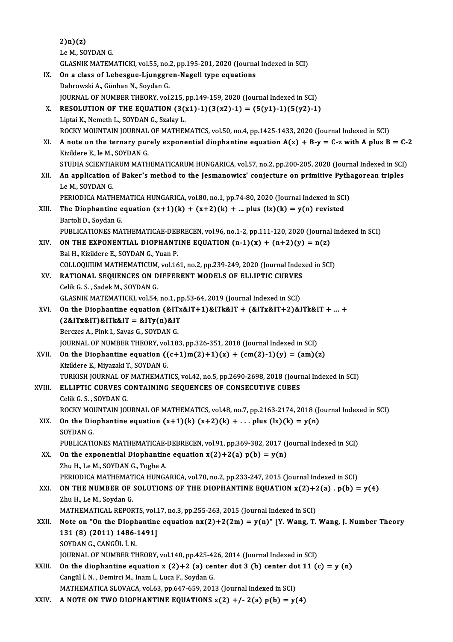|        | 2(n)(z)                                                                                               |
|--------|-------------------------------------------------------------------------------------------------------|
|        | Le M., SOYDAN G.                                                                                      |
|        | GLASNIK MATEMATICKI, vol.55, no.2, pp.195-201, 2020 (Journal Indexed in SCI)                          |
| IX.    | On a class of Lebesgue-Ljunggren-Nagell type equations                                                |
|        | Dabrowski A., Günhan N., Soydan G.                                                                    |
|        | JOURNAL OF NUMBER THEORY, vol.215, pp.149-159, 2020 (Journal Indexed in SCI)                          |
| Χ.     | RESOLUTION OF THE EQUATION $(3(x1)-1)(3(x2)-1) = (5(y1)-1)(5(y2)-1)$                                  |
|        | Liptai K., Nemeth L., SOYDAN G., Szalay L.                                                            |
|        | ROCKY MOUNTAIN JOURNAL OF MATHEMATICS, vol.50, no.4, pp.1425-1433, 2020 (Journal Indexed in SCI)      |
| XI.    | A note on the ternary purely exponential diophantine equation $A(x) + B-y = C$ -z with A plus B = C-2 |
|        | Kizildere E., le M., SOYDAN G.                                                                        |
|        | STUDIA SCIENTIARUM MATHEMATICARUM HUNGARICA, vol.57, no.2, pp.200-205, 2020 (Journal Indexed in SCI)  |
| XII.   | An application of Baker's method to the Jesmanowicz' conjecture on primitive Pythagorean triples      |
|        | Le M , SOYDAN G                                                                                       |
|        | PERIODICA MATHEMATICA HUNGARICA, vol.80, no.1, pp.74-80, 2020 (Journal Indexed in SCI)                |
| XIII.  | The Diophantine equation $(x+1)(k) + (x+2)(k) + $ plus $(k)(k) = y(n)$ revisted                       |
|        | Bartoli D., Soydan G.                                                                                 |
|        | PUBLICATIONES MATHEMATICAE-DEBRECEN, vol.96, no.1-2, pp.111-120, 2020 (Journal Indexed in SCI)        |
| XIV.   | ON THE EXPONENTIAL DIOPHANTINE EQUATION $(n-1)(x) + (n+2)(y) = n(z)$                                  |
|        | Bai H., Kizildere E., SOYDAN G., Yuan P.                                                              |
|        | COLLOQUIUM MATHEMATICUM, vol.161, no.2, pp.239-249, 2020 (Journal Indexed in SCI)                     |
| XV.    | RATIONAL SEQUENCES ON DIFFERENT MODELS OF ELLIPTIC CURVES                                             |
|        | Celik G. S., Sadek M., SOYDAN G.                                                                      |
|        | GLASNIK MATEMATICKI, vol.54, no.1, pp.53-64, 2019 (Journal Indexed in SCI)                            |
| XVI.   | On the Diophantine equation $&ITx&I+1&ITx&I T + (&ITx&I T + 2)&I Tk&I T +  +$                         |
|        | $(2&1Tx&1T)&1Tk&1T = &1Ty(n)&1T$                                                                      |
|        | Berczes A., Pink I., Savas G., SOYDAN G.                                                              |
|        | JOURNAL OF NUMBER THEORY, vol.183, pp.326-351, 2018 (Journal Indexed in SCI)                          |
| XVII.  | On the Diophantine equation $((c+1)m(2)+1)(x) + (cm(2)-1)(y) = (am)(z)$                               |
|        | Kizildere E., Miyazaki T., SOYDAN G.                                                                  |
|        | TURKISH JOURNAL OF MATHEMATICS, vol.42, no.5, pp.2690-2698, 2018 (Journal Indexed in SCI)             |
| XVIII. | ELLIPTIC CURVES CONTAINING SEQUENCES OF CONSECUTIVE CUBES                                             |
|        | Celik G. S., SOYDAN G.                                                                                |
|        | ROCKY MOUNTAIN JOURNAL OF MATHEMATICS, vol.48, no.7, pp.2163-2174, 2018 (Journal Indexed in SCI)      |
| XIX.   | On the Diophantine equation $(x+1)(k)$ $(x+2)(k) + $ plus $(k)(k) = y(n)$                             |
|        | SOYDAN G.                                                                                             |
|        | PUBLICATIONES MATHEMATICAE-DEBRECEN, vol.91, pp.369-382, 2017 (Journal Indexed in SCI)                |
| XX.    | On the exponential Diophantine equation $x(2)+2(a) p(b) = y(n)$                                       |
|        | Zhu H., Le M., SOYDAN G., Togbe A.                                                                    |
|        | PERIODICA MATHEMATICA HUNGARICA, vol.70, no.2, pp.233-247, 2015 (Journal Indexed in SCI)              |
| XXI.   | ON THE NUMBER OF SOLUTIONS OF THE DIOPHANTINE EQUATION $x(2)+2(a)$ . $p(b) = y(4)$                    |
|        | Zhu H., Le M., Soydan G.                                                                              |
|        | MATHEMATICAL REPORTS, vol.17, no.3, pp.255-263, 2015 (Journal Indexed in SCI)                         |
| XXII.  | Note on "On the Diophantine equation $nx(2)+2(2m) = y(n)$ " [Y. Wang, T. Wang, J. Number Theory       |
|        | 131 (8) (2011) 1486-1491]                                                                             |
|        | SOYDAN G., CANGÜL İ.N.                                                                                |
|        | JOURNAL OF NUMBER THEORY, vol.140, pp.425-426, 2014 (Journal Indexed in SCI)                          |
| XXIII. | On the diophantine equation x (2)+2 (a) center dot 3 (b) center dot 11 (c) = y (n)                    |
|        | Cangül İ. N., Demirci M., Inam I., Luca F., Soydan G.                                                 |
|        | MATHEMATICA SLOVACA, vol.63, pp.647-659, 2013 (Journal Indexed in SCI)                                |
| XXIV.  | A NOTE ON TWO DIOPHANTINE EQUATIONS $x(2) + (-2(a) p(b) = y(4))$                                      |
|        |                                                                                                       |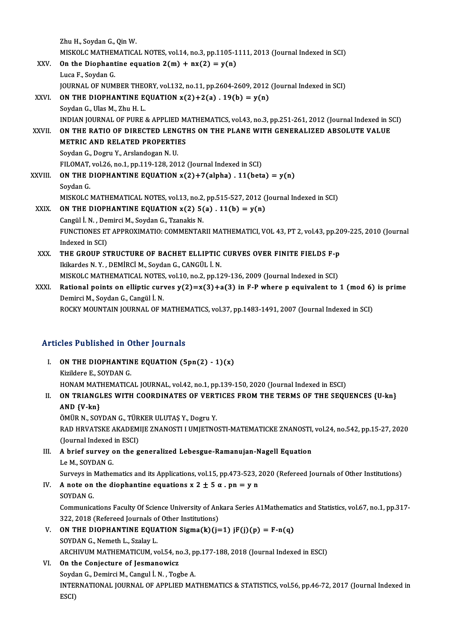|              | Zhu H., Soydan G., Qin W.                                                                             |
|--------------|-------------------------------------------------------------------------------------------------------|
|              | MISKOLC MATHEMATICAL NOTES, vol.14, no.3, pp.1105-1111, 2013 (Journal Indexed in SCI)                 |
| XXV.         | On the Diophantine equation $2(m) + nx(2) = y(n)$                                                     |
|              | Luca F, Soydan G                                                                                      |
|              | JOURNAL OF NUMBER THEORY, vol.132, no.11, pp.2604-2609, 2012 (Journal Indexed in SCI)                 |
| XXVI.        | ON THE DIOPHANTINE EQUATION $x(2)+2(a)$ . 19(b) = $y(n)$                                              |
|              | Soydan G., Ulas M., Zhu H. L.                                                                         |
|              | INDIAN JOURNAL OF PURE & APPLIED MATHEMATICS, vol.43, no.3, pp.251-261, 2012 (Journal Indexed in SCI) |
| <b>XXVII</b> | ON THE RATIO OF DIRECTED LENGTHS ON THE PLANE WITH GENERALIZED ABSOLUTE VALUE                         |
|              | <b>METRIC AND RELATED PROPERTIES</b>                                                                  |
|              | Soydan G., Dogru Y., Arslandogan N.U.                                                                 |
|              | FILOMAT, vol.26, no.1, pp.119-128, 2012 (Journal Indexed in SCI)                                      |
| XXVIII.      | ON THE DIOPHANTINE EQUATION $x(2)+7(alpha)$ . 11(beta) = y(n)                                         |
|              | Soydan G                                                                                              |
|              | MISKOLC MATHEMATICAL NOTES, vol.13, no.2, pp.515-527, 2012 (Journal Indexed in SCI)                   |
| XXIX.        | ON THE DIOPHANTINE EQUATION $x(2)$ 5(a). 11(b) = $y(n)$                                               |
|              | Cangül İ. N., Demirci M., Soydan G., Tzanakis N.                                                      |
|              | FUNCTIONES ET APPROXIMATIO: COMMENTARII MATHEMATICI, VOL 43, PT 2, vol.43, pp.209-225, 2010 (Journal  |
|              | Indexed in SCI)                                                                                       |
| XXX.         | THE GROUP STRUCTURE OF BACHET ELLIPTIC CURVES OVER FINITE FIELDS F-p                                  |
|              | Ikikardes N.Y., DEMİRCİ M., Soydan G., CANGÜL İ.N.                                                    |
|              | MISKOLC MATHEMATICAL NOTES, vol.10, no.2, pp.129-136, 2009 (Journal Indexed in SCI)                   |
| XXXI.        | Rational points on elliptic curves $y(2)=x(3)+a(3)$ in F-P where p equivalent to 1 (mod 6) is prime   |
|              | Demirci M., Soydan G., Cangül İ. N.                                                                   |
|              | ROCKY MOUNTAIN JOURNAL OF MATHEMATICS, vol.37, pp.1483-1491, 2007 (Journal Indexed in SCI)            |
|              |                                                                                                       |

# RUCKY MOUNTAIN JOURNAL OF MATHEN<br>Articles Published in Other Journals

| Articles Published in Other Journals |                                                                                      |  |
|--------------------------------------|--------------------------------------------------------------------------------------|--|
| Ъ.                                   | ON THE DIOPHANTINE EQUATION $(5pn(2) - 1)(x)$                                        |  |
|                                      | Kizildere E . SOYDAN G                                                               |  |
|                                      | HONAM MATHEMATICAL JOURNAL, vol.42, no.1, pp.139-150, 2020 (Journal Indexed in ESCI) |  |
| Н.                                   | ON TRIANGLES WITH COORDINATES OF VERTICES FROM THE TERMS OF THE SEQUENCES {U-kn}     |  |
|                                      | $\lambda$ <sub>NI</sub> $\Lambda$ $\left(VI\right)$                                  |  |

AND {V-kn} ÖMÜR N., SOYDAN G., TÜRKER ULUTAŞ Y., Dogru Y. AND {V-kn}<br>ÖMÜR N., SOYDAN G., TÜRKER ULUTAŞ Y., Dogru Y.<br>RAD HRVATSKE AKADEMIJE ZNANOSTI I UMJETNOSTI-MATEMATICKE ZNANOSTI, vol.24, no.542, pp.15-27, 2020<br>(Journal Indoxed in ESCI) ÖMÜR N., SOYDAN G., TÜR<br>RAD HRVATSKE AKADEM<br>(Journal Indexed in ESCI)<br>A brief survoy on the 3 RAD HRVATSKE AKADEMIJE ZNANOSTI I UMJETNOSTI-MATEMATICKE ZNANOSTI,<br>(Journal Indexed in ESCI)<br>III. A brief survey on the generalized Lebesgue-Ramanujan-Nagell Equation

# (Journal Indexed in ESCI)<br>III. A brief survey on the generalized Lebesgue-Ramanujan-Nagell Equation<br>Le M., SOYDAN G. A brief survey on the generalized Lebesgue-Ramanujan-Nagell Equation<br>Le M., SOYDAN G.<br>Surveys in Mathematics and its Applications, vol.15, pp.473-523, 2020 (Refereed Journals of Other Institutions)<br>A note on the diophantin

IV. A note on the diophantine equations  $x 2 \pm 5 \alpha$ . pn = y n SOYDAN G. Surveys in 1<br>**A** note on<br>SOYDAN G. A note on the diophantine equations  $x 2 \pm 5 \alpha$  .  $pn = y n$ <br>SOYDAN G.<br>Communications Faculty Of Science University of Ankara Series A1Mathematics and Statistics, vol.67, no.1, pp.317-<br>222, 2019 (Refereed Journels of Other In 30YDAN G.<br>Communications Faculty Of Science University of An<br>322, 2018 (Refereed Journals of Other Institutions)<br>ON THE DIOPHANTINE FOUATION Sigma(b)(i-Communications Faculty Of Science University of Ankara Series A1Mathemat<br>322, 2018 (Refereed Journals of Other Institutions)<br>V. **ON THE DIOPHANTINE EQUATION Sigma(k)(j=1) jF(j)(p) = F-n(q)**<br>SOVDAN C. Nometh J. Sraky J

**322, 2018 (Refereed Journals of**<br>**ON THE DIOPHANTINE EQUA**<br>SOYDAN G., Nemeth L., Szalay L.<br>ARCUIVUM MATUEMATICUM V. ON THE DIOPHANTINE EQUATION Sigma(k)(j=1) jF(j)(p) = F-n(q)<br>SOYDAN G., Nemeth L., Szalay L.<br>ARCHIVUM MATHEMATICUM, vol.54, no.3, pp.177-188, 2018 (Journal Indexed in ESCI)<br>On the Conjecture of Jesmanowicz SOYDAN G., Nemeth L., Szalay L.<br>ARCHIVUM MATHEMATICUM, vol.54, no.3, pp.177-188, 2018 (Journal Indexed in ESCI)<br>VI. On the Conjecture of Jesmanowicz

# SoydanG.,DemirciM.,Cangul İ.N. ,TogbeA. On the Conjecture of Jesmanowicz<br>Soydan G., Demirci M., Cangul İ. N. , Togbe A.<br>INTERNATIONAL JOURNAL OF APPLIED MATHEMATICS & STATISTICS, vol.56, pp.46-72, 2017 (Journal Indexed in Soyda<br>INTEI<br>ESCI)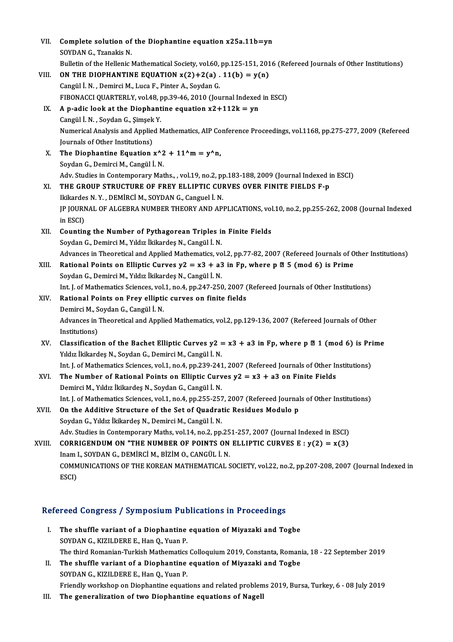| VII.   | Complete solution of the Diophantine equation x25a.11b=yn                                                         |
|--------|-------------------------------------------------------------------------------------------------------------------|
|        | SOYDAN G., Tzanakis N.                                                                                            |
|        | Bulletin of the Hellenic Mathematical Society, vol.60, pp.125-151, 2016 (Refereed Journals of Other Institutions) |
| VIII.  | ON THE DIOPHANTINE EQUATION $x(2)+2(a)$ . 11(b) = $y(n)$                                                          |
|        | Cangül İ. N., Demirci M., Luca F., Pinter A., Soydan G.                                                           |
|        | FIBONACCI QUARTERLY, vol.48, pp.39-46, 2010 (Journal Indexed in ESCI)                                             |
| IX.    | A p-adic look at the Diophantine equation $x2+112k = yn$                                                          |
|        | Cangül İ. N., Soydan G., Şimşek Y.                                                                                |
|        | Numerical Analysis and Applied Mathematics, AIP Conference Proceedings, vol.1168, pp.275-277, 2009 (Refereed      |
|        | Journals of Other Institutions)                                                                                   |
| X.     | The Diophantine Equation $x^2 + 11^m = y^n$ n,                                                                    |
|        | Soydan G., Demirci M., Cangül İ. N.                                                                               |
|        | Adv. Studies in Contemporary Maths., , vol.19, no.2, pp.183-188, 2009 (Journal Indexed in ESCI)                   |
| XI.    | THE GROUP STRUCTURE OF FREY ELLIPTIC CURVES OVER FINITE FIELDS F-p                                                |
|        | Ikikardes N.Y., DEMİRCİ M., SOYDAN G., Canguel İ.N.                                                               |
|        | JP JOURNAL OF ALGEBRA NUMBER THEORY AND APPLICATIONS, vol.10, no.2, pp.255-262, 2008 (Journal Indexed             |
|        | in ESCI)                                                                                                          |
| XII.   | Counting the Number of Pythagorean Triples in Finite Fields                                                       |
|        | Soydan G., Demirci M., Yıldız İkikardeş N., Cangül İ. N.                                                          |
|        | Advances in Theoretical and Applied Mathematics, vol.2, pp.77-82, 2007 (Refereed Journals of Other Institutions)  |
| XIII.  | Rational Points on Elliptic Curves $y2 = x3 + a3$ in Fp, where p $\mathbb{Z}$ 5 (mod 6) is Prime                  |
|        | Soydan G., Demirci M., Yıldız İkikardeş N., Cangül İ. N.                                                          |
|        | Int. J. of Mathematics Sciences, vol.1, no.4, pp.247-250, 2007 (Refereed Journals of Other Institutions)          |
| XIV.   | Rational Points on Frey elliptic curves on finite fields                                                          |
|        | Demirci M., Soydan G., Cangül İ. N.                                                                               |
|        | Advances in Theoretical and Applied Mathematics, vol.2, pp.129-136, 2007 (Refereed Journals of Other              |
|        | Institutions)                                                                                                     |
| XV.    | Classification of the Bachet Elliptic Curves $y2 = x3 + a3$ in Fp, where p $\mathbb{Z}$ 1 (mod 6) is Prime        |
|        | Yıldız İkikardeş N., Soydan G., Demirci M., Cangül İ. N.                                                          |
|        | Int. J. of Mathematics Sciences, vol.1, no.4, pp.239-241, 2007 (Refereed Journals of Other Institutions)          |
| XVI.   | The Number of Rational Points on Elliptic Curves $y2 = x3 + a3$ on Finite Fields                                  |
|        | Demirci M., Yıldız İkikardeş N., Soydan G., Cangül İ. N.                                                          |
|        | Int. J. of Mathematics Sciences, vol.1, no.4, pp.255-257, 2007 (Refereed Journals of Other Institutions)          |
| XVII.  | On the Additive Structure of the Set of Quadratic Residues Modulo p                                               |
|        | Soydan G., Yıldız İkikardeş N., Demirci M., Cangül İ. N.                                                          |
|        | Adv. Studies in Contemporary Maths, vol.14, no.2, pp.251-257, 2007 (Journal Indexed in ESCI)                      |
| XVIII. | CORRIGENDUM ON "THE NUMBER OF POINTS ON ELLIPTIC CURVES E : $y(2) = x(3)$                                         |
|        | Inam I., SOYDAN G., DEMİRCİ M., BİZİM O., CANGÜL İ. N.                                                            |
|        | COMMUNICATIONS OF THE KOREAN MATHEMATICAL SOCIETY, vol.22, no.2, pp.207-208, 2007 (Journal Indexed in             |
|        | ESCI)                                                                                                             |
|        |                                                                                                                   |
|        |                                                                                                                   |
|        | Refereed Congress / Symposium Publications in Proceedings                                                         |

- efereed Congress / Symposium Publications in Proceedings<br>I. The shuffle variant of a Diophantine equation of Miyazaki and Togbe<br>SOVDAN C. KIZU DERE E. Han O. Vuan B I. The shuffle variant of a Diophantine equation of Miyazaki and Togbe SOYDAN G., KIZILDERE E., Han Q., Yuan P. The shuffle variant of a Diophantine equation of Miyazaki and Togbe<br>SOYDAN G., KIZILDERE E., Han Q., Yuan P.<br>The third Romanian-Turkish Mathematics Colloquium 2019, Constanta, Romania, 18 - 22 September 2019<br>The shuffle ve SOYDAN G., KIZILDERE E., Han Q., Yuan P.<br>The third Romanian-Turkish Mathematics Colloquium 2019, Constanta, Roman:<br>II. The shuffle variant of a Diophantine equation of Miyazaki and Togbe<br>SOYDAN C. KIZU DERE E. Han Q. Yuan
- The third Romanian-Turkish Mathematics<br>The shuffle variant of a Diophantine<br>SOYDAN G., KIZILDERE E., Han Q., Yuan P.<br>Friendly workshop on Diophantine causti II. The shuffle variant of a Diophantine equation of Miyazaki and Togbe<br>SOYDAN G., KIZILDERE E., Han Q., Yuan P.<br>Friendly workshop on Diophantine equations and related problems 2019, Bursa, Turkey, 6 - 08 July 2019
- III. The generalization of two Diophantine equations of Nagell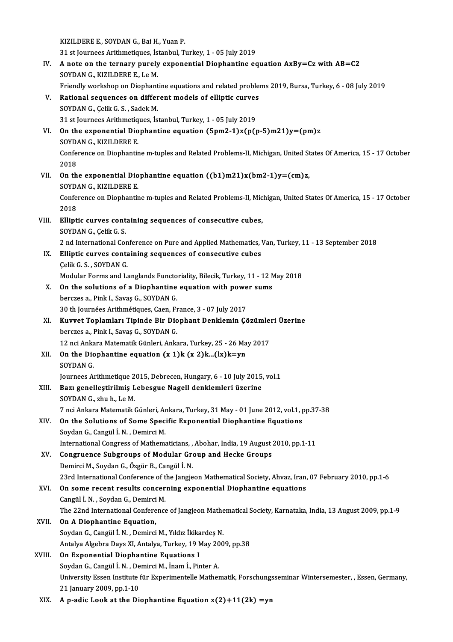KIZILDEREE.,SOYDANG.,BaiH.,YuanP. XIZILDERE E., SOYDAN G., Bai H., Yuan P.<br>31 st Journees Arithmetiques, İstanbul, Turkey, 1 - 05 July 2019<br>A note en the ternary nurely expenential Dienbentine es IV. A note on the ternary purely exponential Diophantine equation  $AxBy=Cz$  with  $AB=C2$ <br>SOYDAN G., KIZILDERE E., Le M. 31 st Journees Arithmetiques, İs<br>A note on the ternary purely<br>SOYDAN G., KIZILDERE E., Le M.<br>Eriondly werkeben en Dienbent Friendly workshop on Diophantine equations and related problems 2019, Bursa, Turkey, 6 - 08 July 2019 SOYDAN G., KIZILDERE E., Le M.<br>Friendly workshop on Diophantine equations and related proble:<br>V. Rational sequences on different models of elliptic curves<br>SOVDAN C. Colik C. S. Sadok M. SOYDAN G., Çelik G. S., Sadek M.<br>31 st Journees Arithmetiques, İstanbul, Turkey, 1 - 05 July 2019 Rational sequences on different models of elliptic curves<br>SOYDAN G., Çelik G. S. , Sadek M.<br>31 st Journees Arithmetiques, İstanbul, Turkey, 1 - 05 July 2019<br>On the expenential Diephentine equation (Enm2 1)x(p(x SOYDAN G., Çelik G. S. , Sadek M.<br>31 st Journees Arithmetiques, İstanbul, Turkey, 1 - 05 July 2019<br>VI. On the exponential Diophantine equation (5pm2-1)x(p(p-5)m21)y=(pm)z<br>SOYDAN G. KIZU DERE E 31 st Journees Arithmetiq<br>On the exponential Dio<br>SOYDAN G., KIZILDERE E.<br>Conference on Diophanti Conference on Diophantine m-tuples and Related Problems-II, Michigan, United States Of America, 15 - 17 October 2018 SOYDAN G., KIZILDERE E. Conference on Diophantine m-tuples and Related Problems-II, Michigan, United St<br>2018<br>VII. On the exponential Diophantine equation  $((b1)m21)x(bm2-1)y=(cm)z$ ,<br>SOVDAN C, KIZU DERE E 2018<br>On the exponential Dio<br>SOYDAN G., KIZILDERE E.<br>Conference on Diophentis Conference on Diophantine m-tuples and Related Problems-II, Michigan, United States Of America, 15 - 17 October 2018 SOYDAN G., KIZILDERE E. Conference on Diophantine m-tuples and Related Problems-II, Mic<br>2018<br>VIII. Elliptic curves containing sequences of consecutive cubes,<br>SOVDAN C Collic C S 2018<br>Elliptic curves cont<br>SOYDAN G., Çelik G. S.<br>2 nd International Cor 2 nd InternationalConference onPure andAppliedMathematics,Van,Turkey,11 -13 September 2018 SOYDAN G., Çelik G. S.<br>2 nd International Conference on Pure and Applied Mathematics, IX.<br>IX. Elliptic curves containing sequences of consecutive cubes 2 nd International Con<br>Elliptic curves conta<br>Çelik G. S. , SOYDAN G.<br>Modular Forms and L Celik G. S., SOYDAN G.<br>Modular Forms and Langlands Functoriality, Bilecik, Turkey, 11 - 12 May 2018 Celik G. S., SOYDAN G.<br>Modular Forms and Langlands Functoriality, Bilecik, Turkey, 11 - 12 N<br>X. On the solutions of a Diophantine equation with power sums<br>horgros a Bink J. Sayse G. SOYDAN G. Modular Forms and Langlands Functo<br>**On the solutions of a Diophantine**<br>berczes a., Pink I., Savaş G., SOYDAN G.<br>20 th Journées Arithmétiques Cean Ex 30 the solutions of a Diophantine equation with powe<br>berczes a., Pink I., Savaş G., SOYDAN G.<br>30 th Journées Arithmétiques, Caen, France, 3 - 07 July 2017<br>Kuwyat Tanlamlary Tininde Bir Dianbant Danklamin Gö berczes a., Pink I., Savaş G., SOYDAN G.<br>30 th Journées Arithmétiques, Caen, France, 3 - 07 July 2017<br>XI. Kuvvet Toplamları Tipinde Bir Diophant Denklemin Çözümleri Üzerine<br>bergges a. Bink L. Savas G. SOYDAN G. 30 th Journées Arithmétiques, Caen, Fr<br>**Kuvvet Toplamları Tipinde Bir Dio**<br>berczes a., Pink I., Savaş G., SOYDAN G.<br>12 nei Ankere Metemetik Günleri, Anke Kuvvet Toplamları Tipinde Bir Diophant Denklemin Çözümler<br>berczes a., Pink I., Savaş G., SOYDAN G.<br>12 nci Ankara Matematik Günleri, Ankara, Turkey, 25 - 26 May 2017<br>On the Diephantine equation (y. 1)k (y. 2)k. (k)k=yn berczes a., Pink I., Savaş G., SOYDAN G.<br>12 nci Ankara Matematik Günleri, Ankara, Turkey, 25 - 26 Ma<br>XII. On the Diophantine equation (x 1)k (x 2)k...(lx)k=yn<br>SOYDAN C 12 nci Anka<br>**On the Dic**<br>SOYDAN G.<br>Journees At SOYDAN G.<br>Journees Arithmetique 2015, Debrecen, Hungary, 6 - 10 July 2015, vol.1 SOYDAN G.<br>Journees Arithmetique 2015, Debrecen, Hungary, 6 - 10 July 2015,<br>XIII. Bazı genelleştirilmiş Lebesgue Nagell denklemleri üzerine<br>SOYDAN G. zbub J.A.M Journees Arithmetique 2<br>Bazı genelleştirilmiş L<br>SOYDAN G., zhu h., Le M.<br>7 nsi Ankare Matematik ( Bazı genelleştirilmiş Lebesgue Nagell denklemleri üzerine<br>SOYDAN G., zhu h., Le M.<br>7 nci Ankara Matematik Günleri, Ankara, Turkey, 31 May - 01 June 2012, vol.1, pp.37-38<br>On the Solutions of Some Specific Eupenential Diephe SOYDAN G., zhu h., Le M.<br>7 nci Ankara Matematik Günleri, Ankara, Turkey, 31 May - 01 June 2012, vol.1, p<br>XIV. On the Solutions of Some Specific Exponential Diophantine Equations<br>Sordan G. Cangül I. N. Dominai M 7 nci Ankara Matematik Günleri, Ar<br>**On the Solutions of Some Spec**<br>Soydan G., Cangül İ.N. , Demirci M. On the Solutions of Some Specific Exponential Diophantine Equations<br>Soydan G., Cangül İ. N., Demirci M.<br>International Congress of Mathematicians, , Abohar, India, 19 August 2010, pp.1-11 Soydan G., Cangül İ. N. , Demirci M.<br>International Congress of Mathematicians, , Abohar, India, 19 August .<br>XV. Congruence Subgroups of Modular Group and Hecke Groups<br>Demirci M. Sovdan C. Özgür B. Cangül İ. N. International Congress of Mathematicians, ,<br>Congruence Subgroups of Modular Green<br>Demirci M., Soydan G., Özgür B., Cangül İ. N.<br>22rd International Conference of the Jangie Congruence Subgroups of Modular Group and Hecke Groups<br>Demirci M., Soydan G., Özgür B., Cangül İ. N.<br>23rd International Conference of the Jangjeon Mathematical Society, Ahvaz, Iran, 07 February 2010, pp.1-6<br>On some resent Demirci M., Soydan G., Özgür B., Cangül İ. N.<br>23rd International Conference of the Jangjeon Mathematical Society, Ahvaz, Iran<br>XVI. On some recent results concerning exponential Diophantine equations<br>Cangül İ. N., Soydan G. 23rd International Conference of the<br>**On some recent results concer**<br>Cangül İ.N., Soydan G., Demirci M.<br>The 22nd International Conference On some recent results concerning exponential Diophantine equations<br>Cangül İ. N. , Soydan G., Demirci M.<br>The 22nd International Conference of Jangjeon Mathematical Society, Karnataka, India, 13 August 2009, pp.1-9<br>On A Dio Cangül İ. N. , Soydan G., Demirci<br>The 22nd International Confere<br>XVII. **On A Diophantine Equation,** The 22nd International Conference of Jangjeon Mathe<br>On A Diophantine Equation,<br>Soydan G., Cangül İ.N. , Demirci M., Yıldız İkikardeş N.<br>Antalya Alsabra Dava Y.L Antalya Turkay 19 May 200 On A Diophantine Equation,<br>Soydan G., Cangül İ. N. , Demirci M., Yıldız İkikardeş N.<br>Antalya Algebra Days XI, Antalya, Turkey, 19 May 2009, pp.38 XVIII. On Exponential Diophantine Equations I Antalya Algebra Days XI, Antalya, Turkey, 19 May 20<br>**On Exponential Diophantine Equations I**<br>Soydan G., Cangül İ.N. , Demirci M., İnam İ., Pinter A.<br>University Essen Institute für Eunerimentelle Mather University Essen Institute für Experimentelle Mathematik, Forschungsseminar Wintersemester, , Essen, Germany,<br>21 January 2009, pp.1-10 Soydan G., Cangül İ. N. , De<br>University Essen Institute<br>21 January 2009, pp.1-10<br>A. n. adia Look at the Di XIX. A p-adic Look at the Diophantine Equation  $x(2)+11(2k) = yn$